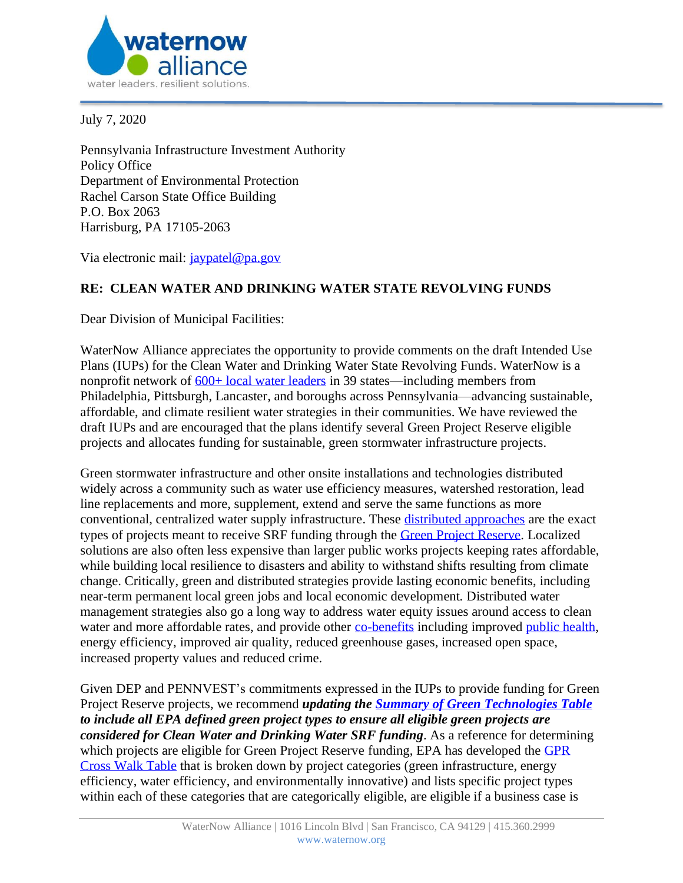

July 7, 2020

Pennsylvania Infrastructure Investment Authority Policy Office Department of Environmental Protection Rachel Carson State Office Building P.O. Box 2063 Harrisburg, PA 17105-2063

Via electronic mail: [jaypatel@pa.gov](mailto:jaypatel@pa.gov)

## **RE: CLEAN WATER AND DRINKING WATER STATE REVOLVING FUNDS**

Dear Division of Municipal Facilities:

WaterNow Alliance appreciates the opportunity to provide comments on the draft Intended Use Plans (IUPs) for the Clean Water and Drinking Water State Revolving Funds. WaterNow is a nonprofit network of  $600+$  local water leaders in 39 states—including members from Philadelphia, Pittsburgh, Lancaster, and boroughs across Pennsylvania—advancing sustainable, affordable, and climate resilient water strategies in their communities. We have reviewed the draft IUPs and are encouraged that the plans identify several Green Project Reserve eligible projects and allocates funding for sustainable, green stormwater infrastructure projects.

Green stormwater infrastructure and other onsite installations and technologies distributed widely across a community such as water use efficiency measures, watershed restoration, lead line replacements and more, supplement, extend and serve the same functions as more conventional, centralized water supply infrastructure. These [distributed approaches](https://www.researchgate.net/publication/331066784_Sustainable_and_Resilient_Urban_Water_Systems_The_Role_of_Decentralization_and_Planning) are the exact types of projects meant to receive SRF funding through the [Green Project Reserve.](https://www.epa.gov/sites/production/files/2015-04/documents/green_project_reserve_eligibility_guidance.pdf) Localized solutions are also often less expensive than larger public works projects keeping rates affordable, while building local resilience to disasters and ability to withstand shifts resulting from climate change. Critically, green and distributed strategies provide lasting economic benefits, including near-term permanent local green jobs and local economic development*.* Distributed water management strategies also go a long way to address water equity issues around access to clean water and more affordable rates, and provide other [co-benefits](https://pacinst.org/wp-content/uploads/2019/04/moving-toward-multi-benefit-approach.pdf) including improved [public health,](https://tapin.waternow.org/wp-content/uploads/sites/2/2019/06/PWD-Impact-Analysis.pdf) energy efficiency, improved air quality, reduced greenhouse gases, increased open space, increased property values and reduced crime.

Given DEP and PENNVEST's commitments expressed in the IUPs to provide funding for Green Project Reserve projects, we recommend *updating the [Summary of Green Technologies Table](http://files.dep.state.pa.us/Water/BPNPSM/InfrastructureFinance/GreenTechnologies/Green_Table.pdf) to include all EPA defined green project types to ensure all eligible green projects are considered for Clean Water and Drinking Water SRF funding*. As a reference for determining which projects are eligible for Green Project Reserve funding, EPA has developed the GPR [Cross Walk Table](https://www.epa.gov/sites/production/files/2015-04/documents/green_project_reserve-crosswalk-table.pdf) that is broken down by project categories (green infrastructure, energy efficiency, water efficiency, and environmentally innovative) and lists specific project types within each of these categories that are categorically eligible, are eligible if a business case is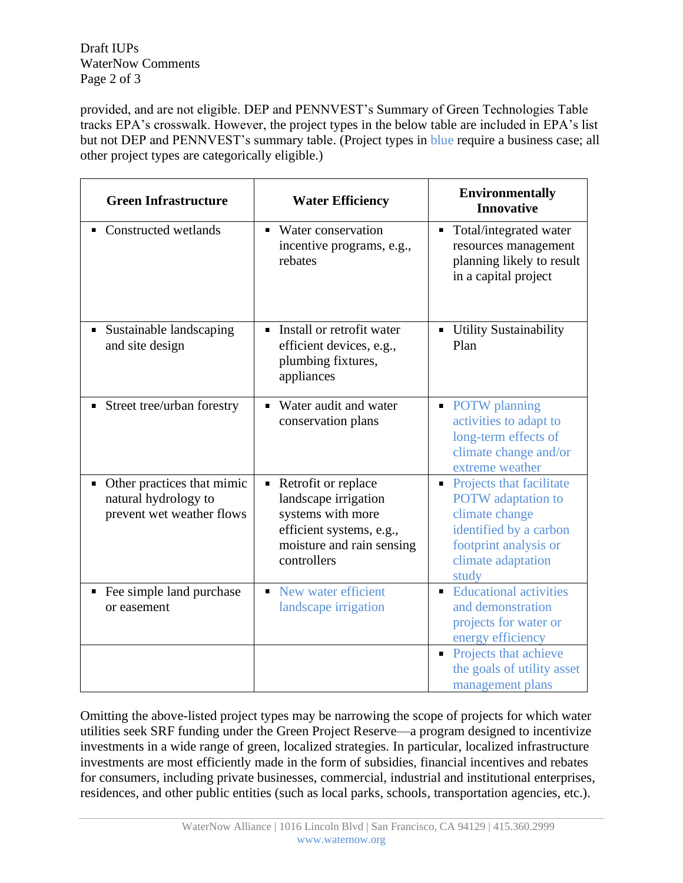Draft IUPs WaterNow Comments Page 2 of 3

provided, and are not eligible. DEP and PENNVEST's Summary of Green Technologies Table tracks EPA's crosswalk. However, the project types in the below table are included in EPA's list but not DEP and PENNVEST's summary table. (Project types in blue require a business case; all other project types are categorically eligible.)

| <b>Green Infrastructure</b>                                                     | <b>Water Efficiency</b>                                                                                                                       | <b>Environmentally</b><br><b>Innovative</b>                                                                                                                                 |
|---------------------------------------------------------------------------------|-----------------------------------------------------------------------------------------------------------------------------------------------|-----------------------------------------------------------------------------------------------------------------------------------------------------------------------------|
| Constructed wetlands                                                            | Water conservation<br>$\blacksquare$<br>incentive programs, e.g.,<br>rebates                                                                  | Total/integrated water<br>$\blacksquare$<br>resources management<br>planning likely to result<br>in a capital project                                                       |
| Sustainable landscaping<br>and site design                                      | Install or retrofit water<br>efficient devices, e.g.,<br>plumbing fixtures,<br>appliances                                                     | <b>Utility Sustainability</b><br>Plan                                                                                                                                       |
| Street tree/urban forestry                                                      | Water audit and water<br>conservation plans                                                                                                   | • POTW planning<br>activities to adapt to<br>long-term effects of<br>climate change and/or<br>extreme weather                                                               |
| Other practices that mimic<br>natural hydrology to<br>prevent wet weather flows | Retrofit or replace<br>Ξ<br>landscape irrigation<br>systems with more<br>efficient systems, e.g.,<br>moisture and rain sensing<br>controllers | • Projects that facilitate<br><b>POTW</b> adaptation to<br>climate change<br>identified by a carbon<br>footprint analysis or<br>climate adaptation<br>study                 |
| Fee simple land purchase<br>or easement                                         | New water efficient<br>٠<br>landscape irrigation                                                                                              | <b>Educational activities</b><br>and demonstration<br>projects for water or<br>energy efficiency<br>Projects that achieve<br>the goals of utility asset<br>management plans |

Omitting the above-listed project types may be narrowing the scope of projects for which water utilities seek SRF funding under the Green Project Reserve—a program designed to incentivize investments in a wide range of green, localized strategies. In particular, localized infrastructure investments are most efficiently made in the form of subsidies, financial incentives and rebates for consumers, including private businesses, commercial, industrial and institutional enterprises, residences, and other public entities (such as local parks, schools, transportation agencies, etc.).